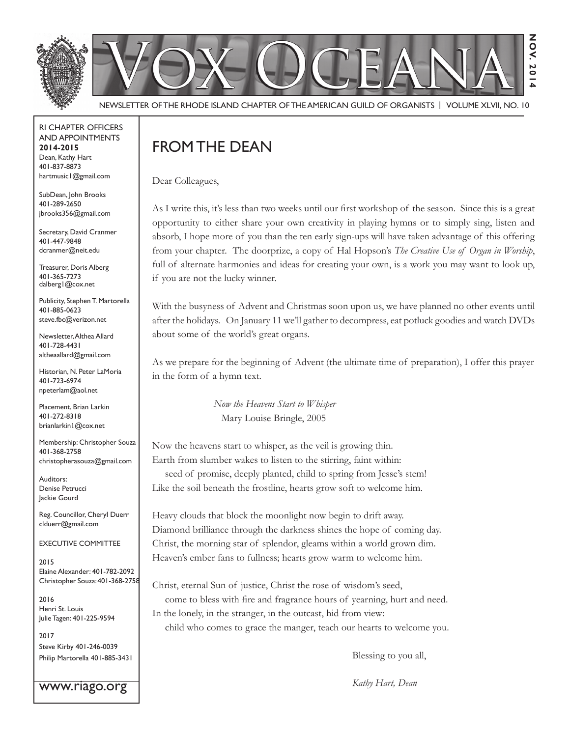

Newsletter of the Rhode Island Chapter of the American Guild of OrganistS | Volume XLVII, No. 10

RI Chapter Officers and Appointments **2014-2015** Dean, Kathy Hart 401-837-8873 hartmusic1@gmail.com

SubDean, John Brooks 401-289-2650 jbrooks356@gmail.com

Secretary, David Cranmer 401-447-9848 dcranmer@neit.edu

Treasurer, Doris Alberg 401-365-7273 dalberg1@cox.net

Publicity, Stephen T. Martorella 401-885-0623 steve.fbc@verizon.net

Newsletter, Althea Allard 401-728-4431 altheaallard@gmail.com

Historian, N. Peter LaMoria 401-723-6974 npeterlam@aol.net

Placement, Brian Larkin 401-272-8318 brianlarkin1@cox.net

Membership: Christopher Souza 401-368-2758 christopherasouza@gmail.com

Auditors: Denise Petrucci Jackie Gourd

Reg. Councillor, Cheryl Duerr clduerr@gmail.com

Executive Committee

2015 Elaine Alexander: 401-782-2092 Christopher Souza: 401-368-2758

2016 Henri St. Louis Julie Tagen: 401-225-9594

2017 Steve Kirby 401-246-0039 Philip Martorella 401-885-3431

www.riago.org

## FROM THE DEAN

Dear Colleagues,

As I write this, it's less than two weeks until our first workshop of the season. Since this is a great opportunity to either share your own creativity in playing hymns or to simply sing, listen and absorb, I hope more of you than the ten early sign-ups will have taken advantage of this offering from your chapter. The doorprize, a copy of Hal Hopson's *The Creative Use of Organ in Worship*, full of alternate harmonies and ideas for creating your own, is a work you may want to look up, if you are not the lucky winner.

With the busyness of Advent and Christmas soon upon us, we have planned no other events until after the holidays. On January 11 we'll gather to decompress, eat potluck goodies and watch DVDs about some of the world's great organs.

As we prepare for the beginning of Advent (the ultimate time of preparation), I offer this prayer in the form of a hymn text.

> *Now the Heavens Start to Whisper* Mary Louise Bringle, 2005

Now the heavens start to whisper, as the veil is growing thin. Earth from slumber wakes to listen to the stirring, faint within: seed of promise, deeply planted, child to spring from Jesse's stem! Like the soil beneath the frostline, hearts grow soft to welcome him.

Heavy clouds that block the moonlight now begin to drift away. Diamond brilliance through the darkness shines the hope of coming day. Christ, the morning star of splendor, gleams within a world grown dim. Heaven's ember fans to fullness; hearts grow warm to welcome him.

Christ, eternal Sun of justice, Christ the rose of wisdom's seed, come to bless with fire and fragrance hours of yearning, hurt and need. In the lonely, in the stranger, in the outcast, hid from view:

child who comes to grace the manger, teach our hearts to welcome you.

Blessing to you all,

*Kathy Hart, Dean*